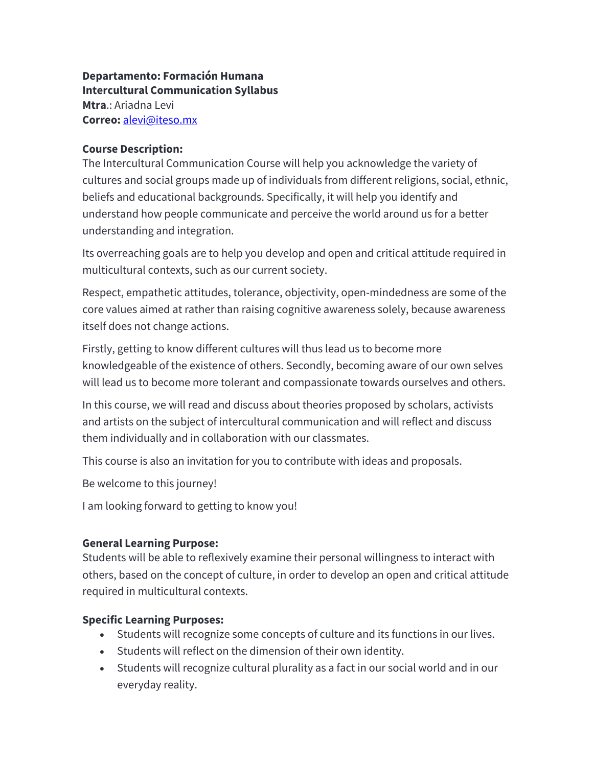**Departamento: Formación Humana Intercultural Communication Syllabus Mtra**.: Ariadna Levi **Correo:** alevi@iteso.mx

#### **Course Description:**

The Intercultural Communication Course will help you acknowledge the variety of cultures and social groups made up of individuals from different religions, social, ethnic, beliefs and educational backgrounds. Specifically, it will help you identify and understand how people communicate and perceive the world around us for a better understanding and integration.

Its overreaching goals are to help you develop and open and critical attitude required in multicultural contexts, such as our current society.

Respect, empathetic attitudes, tolerance, objectivity, open-mindedness are some of the core values aimed at rather than raising cognitive awareness solely, because awareness itself does not change actions.

Firstly, getting to know different cultures will thus lead us to become more knowledgeable of the existence of others. Secondly, becoming aware of our own selves will lead us to become more tolerant and compassionate towards ourselves and others.

In this course, we will read and discuss about theories proposed by scholars, activists and artists on the subject of intercultural communication and will reflect and discuss them individually and in collaboration with our classmates.

This course is also an invitation for you to contribute with ideas and proposals.

Be welcome to this journey!

I am looking forward to getting to know you!

#### **General Learning Purpose:**

Students will be able to reflexively examine their personal willingness to interact with others, based on the concept of culture, in order to develop an open and critical attitude required in multicultural contexts.

## **Specific Learning Purposes:**

- Students will recognize some concepts of culture and its functions in our lives.
- Students will reflect on the dimension of their own identity.
- Students will recognize cultural plurality as a fact in our social world and in our everyday reality.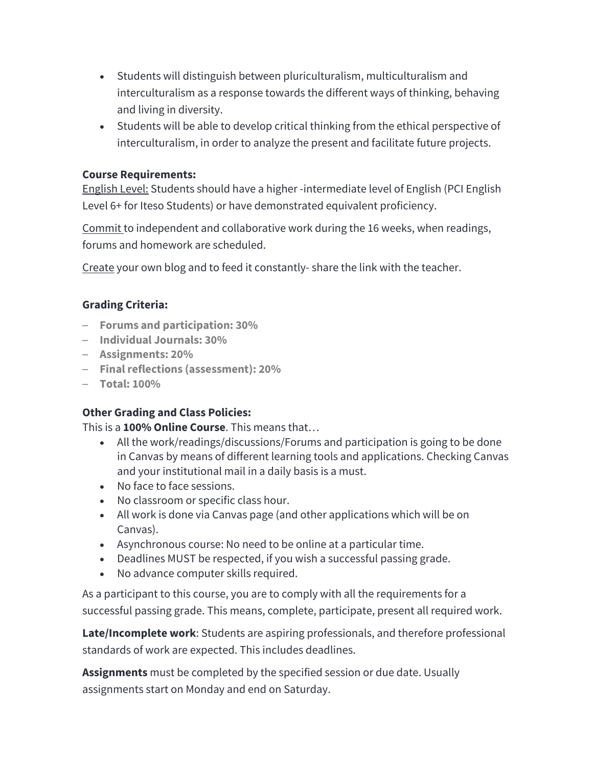- Students will distinguish between pluriculturalism, multiculturalism and interculturalism as a response towards the different ways of thinking, behaving and living in diversity.
- Students will be able to develop critical thinking from the ethical perspective of interculturalism, in order to analyze the present and facilitate future projects.

#### **Course Requirements:**

English Level: Students should have a higher -intermediate level of English (PCI English Level 6+ for Iteso Students) or have demonstrated equivalent proficiency.

Commit to independent and collaborative work during the 16 weeks, when readings, forums and homework are scheduled.

Create your own blog and to feed it constantly- share the link with the teacher.

## **Grading Criteria:**

- **Forums and participation: 30%**
- **Individual Journals: 30%**
- **Assignments: 20%**
- **Finalreflections (assessment): 20%**
- **Total: 100%**

## **Other Grading and Class Policies:**

This is a **100% Online Course**. This means that…

- All the work/readings/discussions/Forums and participation is going to be done in Canvas by means of different learning tools and applications. Checking Canvas and your institutional mail in a daily basis is a must.
- No face to face sessions.
- No classroom or specific class hour.
- All work is done via Canvas page (and other applications which will be on Canvas).
- Asynchronous course: No need to be online at a particular time.
- Deadlines MUST be respected, if you wish a successful passing grade.
- No advance computer skills required.

As a participant to this course, you are to comply with all the requirements for a successful passing grade. This means, complete, participate, present all required work.

**Late/Incomplete work**: Students are aspiring professionals, and therefore professional standards of work are expected. This includes deadlines.

**Assignments** must be completed by the specified session or due date. Usually assignments start on Monday and end on Saturday.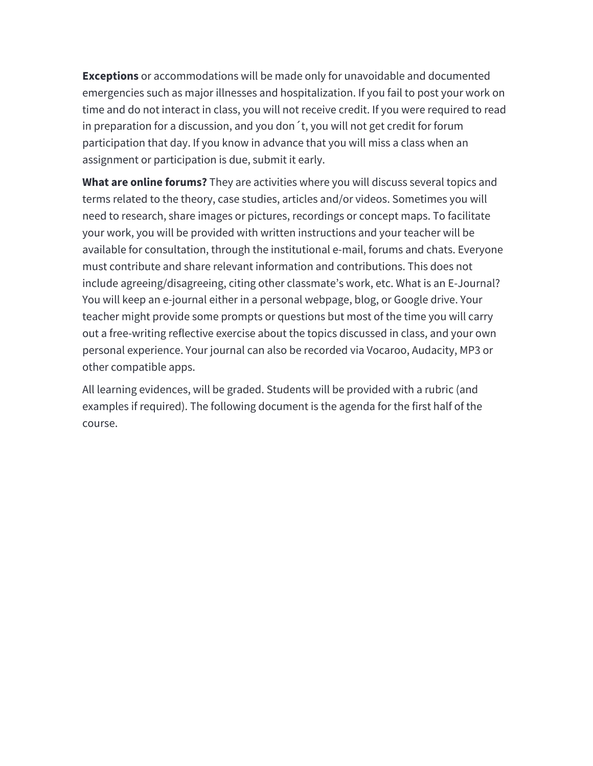**Exceptions** or accommodations will be made only for unavoidable and documented emergencies such as major illnesses and hospitalization. If you fail to post your work on time and do not interact in class, you will not receive credit. If you were required to read in preparation for a discussion, and you don´t, you will not get credit for forum participation that day. If you know in advance that you will miss a class when an assignment or participation is due, submit it early.

**What are online forums?** They are activities where you will discuss several topics and terms related to the theory, case studies, articles and/or videos. Sometimes you will need to research, share images or pictures, recordings or concept maps. To facilitate your work, you will be provided with written instructions and your teacher will be available for consultation, through the institutional e-mail, forums and chats. Everyone must contribute and share relevant information and contributions. This does not include agreeing/disagreeing, citing other classmate's work, etc. What is an E-Journal? You will keep an e-journal either in a personal webpage, blog, or Google drive. Your teacher might provide some prompts or questions but most of the time you will carry out a free-writing reflective exercise about the topics discussed in class, and your own personal experience. Your journal can also be recorded via Vocaroo, Audacity, MP3 or other compatible apps.

All learning evidences, will be graded. Students will be provided with a rubric (and examples if required). The following document is the agenda for the first half of the course.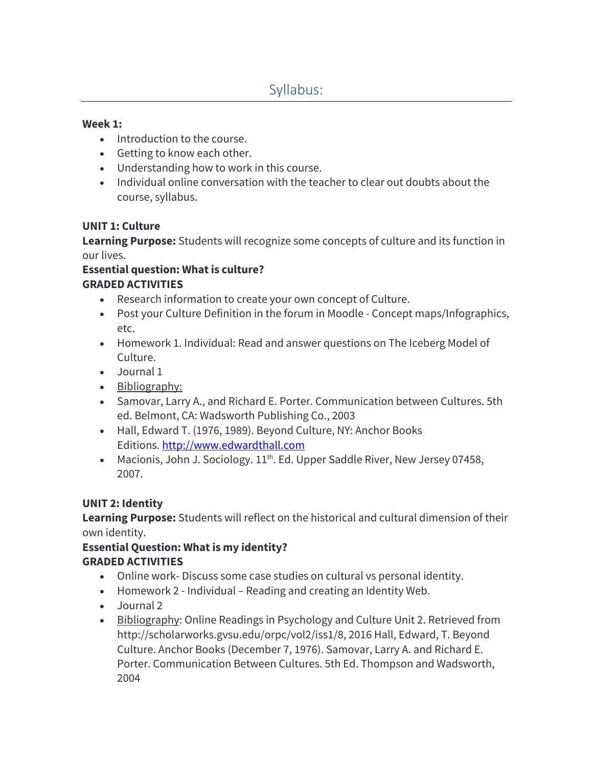#### **Week 1:**

- Introduction to the course.
- Getting to know each other.
- Understanding how to work in this course.
- Individual online conversation with the teacher to clear out doubts about the course, syllabus.

#### **UNIT 1: Culture**

**Learning Purpose:** Students will recognize some concepts of culture and its function in our lives.

## **Essential question: What is culture? GRADED ACTIVITIES**

- Research information to create your own concept of Culture.
- Post your Culture Definition in the forum in Moodle Concept maps/Infographics, etc.
- Homework 1. Individual: Read and answer questions on The Iceberg Model of Culture.
- Journal 1
- Bibliography:
- Samovar, Larry A., and Richard E. Porter. Communication between Cultures. 5th ed. Belmont, CA: Wadsworth Publishing Co., 2003
- Hall, Edward T. (1976, 1989). Beyond Culture, NY: Anchor Books Editions. http://www.edwardthall.com
- Macionis, John J. Sociology.  $11<sup>th</sup>$ . Ed. Upper Saddle River, New Jersey 07458, 2007.

## **UNIT 2: Identity**

**Learning Purpose:** Students will reflect on the historical and cultural dimension of their own identity.

## **Essential Question: What is my identity? GRADED ACTIVITIES**

- Online work- Discuss some case studies on cultural vs personal identity.
- Homework 2 Individual Reading and creating an Identity Web.
- Journal 2
- Bibliography: Online Readings in Psychology and Culture Unit 2. Retrieved from http://scholarworks.gvsu.edu/orpc/vol2/iss1/8, 2016 Hall, Edward, T. Beyond Culture. Anchor Books (December 7, 1976). Samovar, Larry A. and Richard E. Porter. Communication Between Cultures. 5th Ed. Thompson and Wadsworth, 2004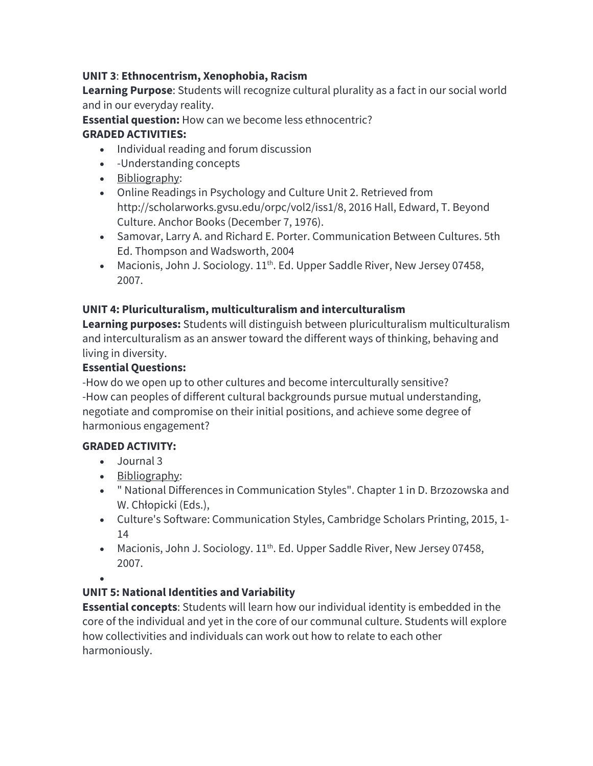## **UNIT 3**: **Ethnocentrism, Xenophobia, Racism**

**Learning Purpose**: Students will recognize cultural plurality as a fact in our social world and in our everyday reality.

**Essential question:** How can we become less ethnocentric? **GRADED ACTIVITIES:**

- Individual reading and forum discussion
- -Understanding concepts
- Bibliography:
- Online Readings in Psychology and Culture Unit 2. Retrieved from http://scholarworks.gvsu.edu/orpc/vol2/iss1/8, 2016 Hall, Edward, T. Beyond Culture. Anchor Books (December 7, 1976).
- Samovar, Larry A. and Richard E. Porter. Communication Between Cultures. 5th Ed. Thompson and Wadsworth, 2004
- Macionis, John J. Sociology. 11<sup>th</sup>. Ed. Upper Saddle River, New Jersey 07458, 2007.

# **UNIT 4: Pluriculturalism, multiculturalism and interculturalism**

**Learning purposes:** Students will distinguish between pluriculturalism multiculturalism and interculturalism as an answer toward the different ways of thinking, behaving and living in diversity.

## **Essential Questions:**

-How do we open up to other cultures and become interculturally sensitive? -How can peoples of different cultural backgrounds pursue mutual understanding, negotiate and compromise on their initial positions, and achieve some degree of harmonious engagement?

## **GRADED ACTIVITY:**

- Journal 3
- Bibliography:
- " National Differences in Communication Styles". Chapter 1 in D. Brzozowska and W. Chłopicki (Eds.),
- Culture's Software: Communication Styles, Cambridge Scholars Printing, 2015, 1- 14
- Macionis, John J. Sociology. 11<sup>th</sup>. Ed. Upper Saddle River, New Jersey 07458, 2007.
- •

# **UNIT 5: National Identities and Variability**

**Essential concepts**: Students will learn how our individual identity is embedded in the core of the individual and yet in the core of our communal culture. Students will explore how collectivities and individuals can work out how to relate to each other harmoniously.